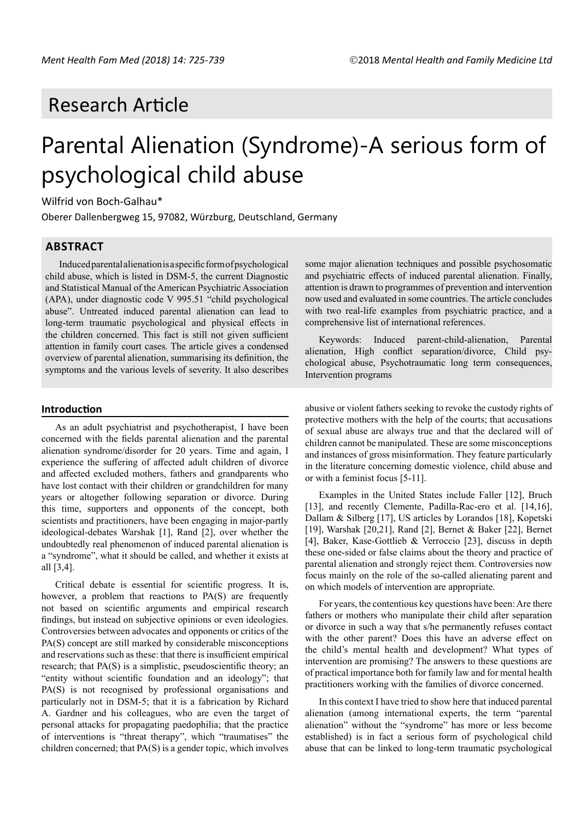## Research Article

# Parental Alienation (Syndrome)-A serious form of psychological child abuse

Wilfrid von Boch-Galhau\*

Oberer Dallenbergweg 15, 97082, Würzburg, Deutschland, Germany

## **ABSTRACT**

Induced parental alienation is a specific form of psychological child abuse, which is listed in DSM-5, the current Diagnostic and Statistical Manual of the American Psychiatric Association (APA), under diagnostic code V 995.51 "child psychological abuse". Untreated induced parental alienation can lead to long-term traumatic psychological and physical effects in the children concerned. This fact is still not given sufficient attention in family court cases. The article gives a condensed overview of parental alienation, summarising its definition, the symptoms and the various levels of severity. It also describes

#### **Introduction**

As an adult psychiatrist and psychotherapist, I have been concerned with the fields parental alienation and the parental alienation syndrome/disorder for 20 years. Time and again, I experience the suffering of affected adult children of divorce and affected excluded mothers, fathers and grandparents who have lost contact with their children or grandchildren for many years or altogether following separation or divorce. During this time, supporters and opponents of the concept, both scientists and practitioners, have been engaging in major-partly ideological-debates Warshak [1], Rand [2], over whether the undoubtedly real phenomenon of induced parental alienation is a "syndrome", what it should be called, and whether it exists at all [3,4].

Critical debate is essential for scientific progress. It is, however, a problem that reactions to PA(S) are frequently not based on scientific arguments and empirical research findings, but instead on subjective opinions or even ideologies. Controversies between advocates and opponents or critics of the PA(S) concept are still marked by considerable misconceptions and reservations such as these: that there is insufficient empirical research; that PA(S) is a simplistic, pseudoscientific theory; an "entity without scientific foundation and an ideology"; that PA(S) is not recognised by professional organisations and particularly not in DSM-5; that it is a fabrication by Richard A. Gardner and his colleagues, who are even the target of personal attacks for propagating paedophilia; that the practice of interventions is "threat therapy", which "traumatises" the children concerned; that PA(S) is a gender topic, which involves

some major alienation techniques and possible psychosomatic and psychiatric effects of induced parental alienation. Finally, attention is drawn to programmes of prevention and intervention now used and evaluated in some countries. The article concludes with two real-life examples from psychiatric practice, and a comprehensive list of international references.

Keywords: Induced parent-child-alienation, Parental alienation, High conflict separation/divorce, Child psychological abuse, Psychotraumatic long term consequences, Intervention programs

abusive or violent fathers seeking to revoke the custody rights of protective mothers with the help of the courts; that accusations of sexual abuse are always true and that the declared will of children cannot be manipulated. These are some misconceptions and instances of gross misinformation. They feature particularly in the literature concerning domestic violence, child abuse and or with a feminist focus [5-11].

Examples in the United States include Faller [12], Bruch [13], and recently Clemente, Padilla-Rac-ero et al. [14,16], Dallam & Silberg [17], US articles by Lorandos [18], Kopetski [19], Warshak [20,21], Rand [2], Bernet & Baker [22], Bernet [4], Baker, Kase-Gottlieb & Verroccio [23], discuss in depth these one-sided or false claims about the theory and practice of parental alienation and strongly reject them. Controversies now focus mainly on the role of the so-called alienating parent and on which models of intervention are appropriate.

For years, the contentious key questions have been: Are there fathers or mothers who manipulate their child after separation or divorce in such a way that s/he permanently refuses contact with the other parent? Does this have an adverse effect on the child's mental health and development? What types of intervention are promising? The answers to these questions are of practical importance both for family law and for mental health practitioners working with the families of divorce concerned.

In this context I have tried to show here that induced parental alienation (among international experts, the term "parental alienation" without the "syndrome" has more or less become established) is in fact a serious form of psychological child abuse that can be linked to long-term traumatic psychological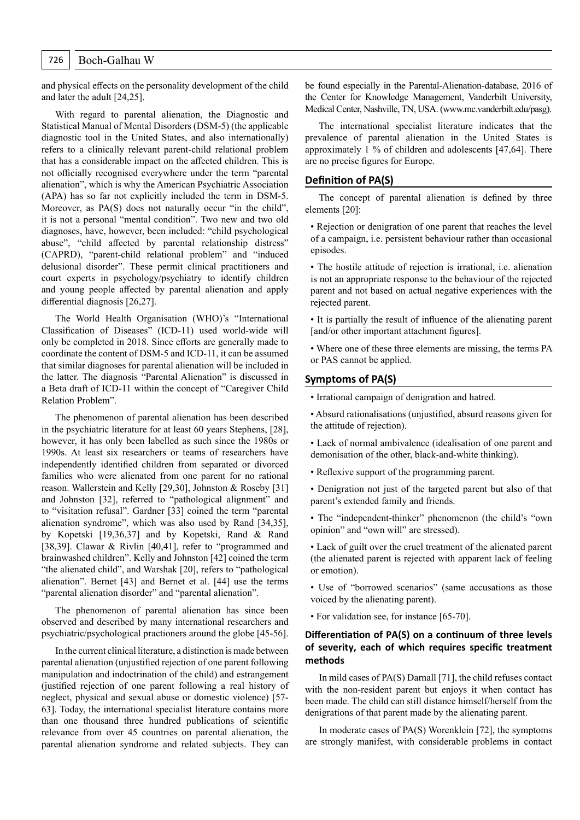## 726 | Boch-Galhau W

and physical effects on the personality development of the child and later the adult [24,25].

With regard to parental alienation, the Diagnostic and Statistical Manual of Mental Disorders (DSM-5) (the applicable diagnostic tool in the United States, and also internationally) refers to a clinically relevant parent-child relational problem that has a considerable impact on the affected children. This is not officially recognised everywhere under the term "parental alienation", which is why the American Psychiatric Association (APA) has so far not explicitly included the term in DSM-5. Moreover, as PA(S) does not naturally occur "in the child", it is not a personal "mental condition". Two new and two old diagnoses, have, however, been included: "child psychological abuse", "child affected by parental relationship distress" (CAPRD), "parent-child relational problem" and "induced delusional disorder". These permit clinical practitioners and court experts in psychology/psychiatry to identify children and young people affected by parental alienation and apply differential diagnosis [26,27].

The World Health Organisation (WHO)'s "International Classification of Diseases" (ICD-11) used world-wide will only be completed in 2018. Since efforts are generally made to coordinate the content of DSM-5 and ICD-11, it can be assumed that similar diagnoses for parental alienation will be included in the latter. The diagnosis "Parental Alienation" is discussed in a Beta draft of ICD-11 within the concept of "Caregiver Child Relation Problem".

The phenomenon of parental alienation has been described in the psychiatric literature for at least 60 years Stephens, [28], however, it has only been labelled as such since the 1980s or 1990s. At least six researchers or teams of researchers have independently identified children from separated or divorced families who were alienated from one parent for no rational reason. Wallerstein and Kelly [29,30], Johnston & Roseby [31] and Johnston [32], referred to "pathological alignment" and to "visitation refusal". Gardner [33] coined the term "parental alienation syndrome", which was also used by Rand [34,35], by Kopetski [19,36,37] and by Kopetski, Rand & Rand [38,39]. Clawar & Rivlin [40,41], refer to "programmed and brainwashed children". Kelly and Johnston [42] coined the term "the alienated child", and Warshak [20], refers to "pathological alienation". Bernet [43] and Bernet et al. [44] use the terms "parental alienation disorder" and "parental alienation".

The phenomenon of parental alienation has since been observed and described by many international researchers and psychiatric/psychological practioners around the globe [45-56].

In the current clinical literature, a distinction is made between parental alienation (unjustified rejection of one parent following manipulation and indoctrination of the child) and estrangement (justified rejection of one parent following a real history of neglect, physical and sexual abuse or domestic violence) [57- 63]. Today, the international specialist literature contains more than one thousand three hundred publications of scientific relevance from over 45 countries on parental alienation, the parental alienation syndrome and related subjects. They can be found especially in the Parental-Alienation-database, 2016 of the Center for Knowledge Management, Vanderbilt University, Medical Center, Nashville, TN, USA. (www.mc.vanderbilt.edu/pasg).

The international specialist literature indicates that the prevalence of parental alienation in the United States is approximately 1 % of children and adolescents [47,64]. There are no precise figures for Europe.

#### **Definition of PA(S)**

The concept of parental alienation is defined by three elements [20]:

• Rejection or denigration of one parent that reaches the level of a campaign, i.e. persistent behaviour rather than occasional episodes.

• The hostile attitude of rejection is irrational, i.e. alienation is not an appropriate response to the behaviour of the rejected parent and not based on actual negative experiences with the rejected parent.

• It is partially the result of influence of the alienating parent [and/or other important attachment figures].

• Where one of these three elements are missing, the terms PA or PAS cannot be applied.

## **Symptoms of PA(S)**

• Irrational campaign of denigration and hatred.

• Absurd rationalisations (unjustified, absurd reasons given for the attitude of rejection).

• Lack of normal ambivalence (idealisation of one parent and demonisation of the other, black-and-white thinking).

• Reflexive support of the programming parent.

• Denigration not just of the targeted parent but also of that parent's extended family and friends.

• The "independent-thinker" phenomenon (the child's "own opinion" and "own will" are stressed).

• Lack of guilt over the cruel treatment of the alienated parent (the alienated parent is rejected with apparent lack of feeling or emotion).

• Use of "borrowed scenarios" (same accusations as those voiced by the alienating parent).

• For validation see, for instance [65-70].

## **Differentiation of PA(S) on a continuum of three levels of severity, each of which requires specific treatment methods**

In mild cases of PA(S) Darnall [71], the child refuses contact with the non-resident parent but enjoys it when contact has been made. The child can still distance himself/herself from the denigrations of that parent made by the alienating parent.

In moderate cases of PA(S) Worenklein [72], the symptoms are strongly manifest, with considerable problems in contact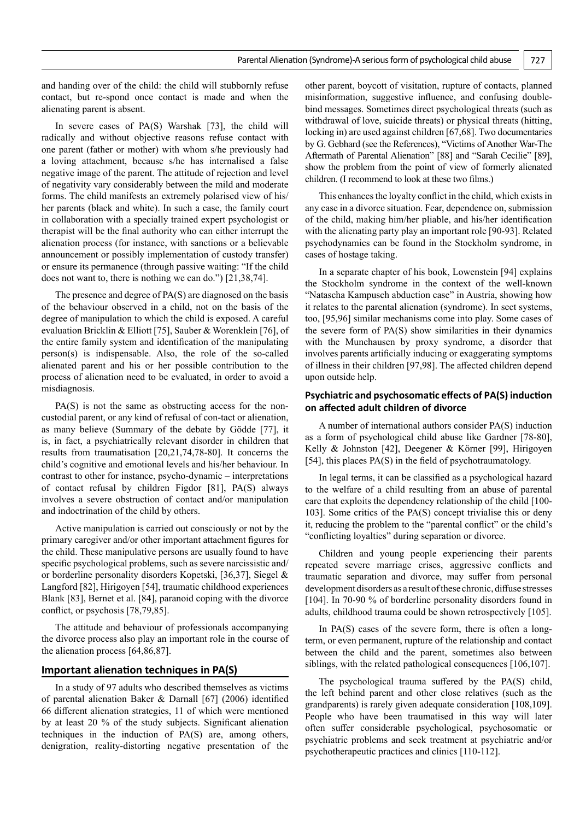and handing over of the child: the child will stubbornly refuse contact, but re-spond once contact is made and when the alienating parent is absent.

In severe cases of PA(S) Warshak [73], the child will radically and without objective reasons refuse contact with one parent (father or mother) with whom s/he previously had a loving attachment, because s/he has internalised a false negative image of the parent. The attitude of rejection and level of negativity vary considerably between the mild and moderate forms. The child manifests an extremely polarised view of his/ her parents (black and white). In such a case, the family court in collaboration with a specially trained expert psychologist or therapist will be the final authority who can either interrupt the alienation process (for instance, with sanctions or a believable announcement or possibly implementation of custody transfer) or ensure its permanence (through passive waiting: "If the child does not want to, there is nothing we can do.") [21,38,74].

The presence and degree of PA(S) are diagnosed on the basis of the behaviour observed in a child, not on the basis of the degree of manipulation to which the child is exposed. A careful evaluation Bricklin & Elliott [75], Sauber & Worenklein [76], of the entire family system and identification of the manipulating person(s) is indispensable. Also, the role of the so-called alienated parent and his or her possible contribution to the process of alienation need to be evaluated, in order to avoid a misdiagnosis.

PA(S) is not the same as obstructing access for the noncustodial parent, or any kind of refusal of con-tact or alienation, as many believe (Summary of the debate by Gödde [77], it is, in fact, a psychiatrically relevant disorder in children that results from traumatisation [20,21,74,78-80]. It concerns the child's cognitive and emotional levels and his/her behaviour. In contrast to other for instance, psycho-dynamic – interpretations of contact refusal by children Figdor [81], PA(S) always involves a severe obstruction of contact and/or manipulation and indoctrination of the child by others.

Active manipulation is carried out consciously or not by the primary caregiver and/or other important attachment figures for the child. These manipulative persons are usually found to have specific psychological problems, such as severe narcissistic and/ or borderline personality disorders Kopetski, [36,37], Siegel & Langford [82], Hirigoyen [54], traumatic childhood experiences Blank [83], Bernet et al. [84], paranoid coping with the divorce conflict, or psychosis [78,79,85].

The attitude and behaviour of professionals accompanying the divorce process also play an important role in the course of the alienation process [64,86,87].

## **Important alienation techniques in PA(S)**

In a study of 97 adults who described themselves as victims of parental alienation Baker & Darnall [67] (2006) identified 66 different alienation strategies, 11 of which were mentioned by at least 20 % of the study subjects. Significant alienation techniques in the induction of PA(S) are, among others, denigration, reality-distorting negative presentation of the

other parent, boycott of visitation, rupture of contacts, planned misinformation, suggestive influence, and confusing doublebind messages. Sometimes direct psychological threats (such as withdrawal of love, suicide threats) or physical threats (hitting, locking in) are used against children [67,68]. Two documentaries by G. Gebhard (see the References), "Victims of Another War-The Aftermath of Parental Alienation" [88] and "Sarah Cecilie" [89], show the problem from the point of view of formerly alienated children. (I recommend to look at these two films.)

This enhances the loyalty conflict in the child, which exists in any case in a divorce situation. Fear, dependence on, submission of the child, making him/her pliable, and his/her identification with the alienating party play an important role [90-93]. Related psychodynamics can be found in the Stockholm syndrome, in cases of hostage taking.

In a separate chapter of his book, Lowenstein [94] explains the Stockholm syndrome in the context of the well-known "Natascha Kampusch abduction case" in Austria, showing how it relates to the parental alienation (syndrome). In sect systems, too, [95,96] similar mechanisms come into play. Some cases of the severe form of PA(S) show similarities in their dynamics with the Munchausen by proxy syndrome, a disorder that involves parents artificially inducing or exaggerating symptoms of illness in their children [97,98]. The affected children depend upon outside help.

## **Psychiatric and psychosomatic effects of PA(S) induction on affected adult children of divorce**

A number of international authors consider PA(S) induction as a form of psychological child abuse like Gardner [78-80], Kelly & Johnston [42], Deegener & Körner [99], Hirigoyen [54], this places PA(S) in the field of psychotraumatology.

In legal terms, it can be classified as a psychological hazard to the welfare of a child resulting from an abuse of parental care that exploits the dependency relationship of the child [100- 103]. Some critics of the PA(S) concept trivialise this or deny it, reducing the problem to the "parental conflict" or the child's "conflicting loyalties" during separation or divorce.

Children and young people experiencing their parents repeated severe marriage crises, aggressive conflicts and traumatic separation and divorce, may suffer from personal development disorders as a result of these chronic, diffuse stresses [104]. In 70-90 % of borderline personality disorders found in adults, childhood trauma could be shown retrospectively [105].

In  $PA(S)$  cases of the severe form, there is often a longterm, or even permanent, rupture of the relationship and contact between the child and the parent, sometimes also between siblings, with the related pathological consequences [106,107].

The psychological trauma suffered by the PA(S) child, the left behind parent and other close relatives (such as the grandparents) is rarely given adequate consideration [108,109]. People who have been traumatised in this way will later often suffer considerable psychological, psychosomatic or psychiatric problems and seek treatment at psychiatric and/or psychotherapeutic practices and clinics [110-112].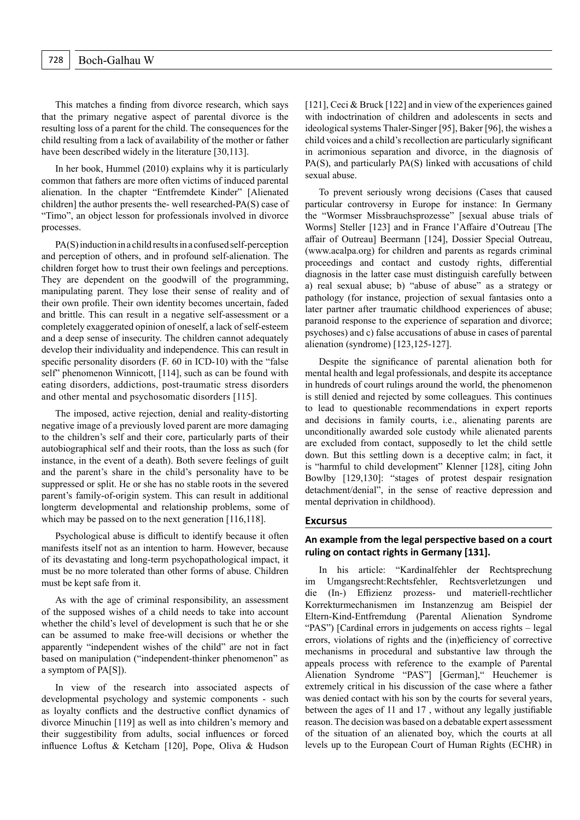This matches a finding from divorce research, which says that the primary negative aspect of parental divorce is the resulting loss of a parent for the child. The consequences for the child resulting from a lack of availability of the mother or father have been described widely in the literature [30,113].

In her book, Hummel (2010) explains why it is particularly common that fathers are more often victims of induced parental alienation. In the chapter "Entfremdete Kinder" [Alienated children] the author presents the- well researched-PA(S) case of "Timo", an object lesson for professionals involved in divorce processes.

PA(S) induction in a child results in a confused self-perception and perception of others, and in profound self-alienation. The children forget how to trust their own feelings and perceptions. They are dependent on the goodwill of the programming, manipulating parent. They lose their sense of reality and of their own profile. Their own identity becomes uncertain, faded and brittle. This can result in a negative self-assessment or a completely exaggerated opinion of oneself, a lack of self-esteem and a deep sense of insecurity. The children cannot adequately develop their individuality and independence. This can result in specific personality disorders (F. 60 in ICD-10) with the "false self" phenomenon Winnicott, [114], such as can be found with eating disorders, addictions, post-traumatic stress disorders and other mental and psychosomatic disorders [115].

The imposed, active rejection, denial and reality-distorting negative image of a previously loved parent are more damaging to the children's self and their core, particularly parts of their autobiographical self and their roots, than the loss as such (for instance, in the event of a death). Both severe feelings of guilt and the parent's share in the child's personality have to be suppressed or split. He or she has no stable roots in the severed parent's family-of-origin system. This can result in additional longterm developmental and relationship problems, some of which may be passed on to the next generation [116,118].

Psychological abuse is difficult to identify because it often manifests itself not as an intention to harm. However, because of its devastating and long-term psychopathological impact, it must be no more tolerated than other forms of abuse. Children must be kept safe from it.

As with the age of criminal responsibility, an assessment of the supposed wishes of a child needs to take into account whether the child's level of development is such that he or she can be assumed to make free-will decisions or whether the apparently "independent wishes of the child" are not in fact based on manipulation ("independent-thinker phenomenon" as a symptom of PA[S]).

In view of the research into associated aspects of developmental psychology and systemic components - such as loyalty conflicts and the destructive conflict dynamics of divorce Minuchin [119] as well as into children's memory and their suggestibility from adults, social influences or forced influence Loftus & Ketcham [120], Pope, Oliva & Hudson

[121], Ceci & Bruck [122] and in view of the experiences gained with indoctrination of children and adolescents in sects and ideological systems Thaler-Singer [95], Baker [96], the wishes a child voices and a child's recollection are particularly significant in acrimonious separation and divorce, in the diagnosis of PA(S), and particularly PA(S) linked with accusations of child sexual abuse.

To prevent seriously wrong decisions (Cases that caused particular controversy in Europe for instance: In Germany the "Wormser Missbrauchsprozesse" [sexual abuse trials of Worms] Steller [123] and in France l'Affaire d'Outreau [The affair of Outreau] Beermann [124], Dossier Special Outreau, (www.acalpa.org) for children and parents as regards criminal proceedings and contact and custody rights, differential diagnosis in the latter case must distinguish carefully between a) real sexual abuse; b) "abuse of abuse" as a strategy or pathology (for instance, projection of sexual fantasies onto a later partner after traumatic childhood experiences of abuse; paranoid response to the experience of separation and divorce; psychoses) and c) false accusations of abuse in cases of parental alienation (syndrome) [123,125-127].

Despite the significance of parental alienation both for mental health and legal professionals, and despite its acceptance in hundreds of court rulings around the world, the phenomenon is still denied and rejected by some colleagues. This continues to lead to questionable recommendations in expert reports and decisions in family courts, i.e., alienating parents are unconditionally awarded sole custody while alienated parents are excluded from contact, supposedly to let the child settle down. But this settling down is a deceptive calm; in fact, it is "harmful to child development" Klenner [128], citing John Bowlby [129,130]: "stages of protest despair resignation detachment/denial", in the sense of reactive depression and mental deprivation in childhood).

#### **Excursus**

## **An example from the legal perspective based on a court ruling on contact rights in Germany [131].**

In his article: "Kardinalfehler der Rechtsprechung im Umgangsrecht:Rechtsfehler, Rechtsverletzungen und die (In-) Effizienz prozess- und materiell-rechtlicher Korrekturmechanismen im Instanzenzug am Beispiel der Eltern-Kind-Entfremdung (Parental Alienation Syndrome "PAS") [Cardinal errors in judgements on access rights – legal errors, violations of rights and the (in)efficiency of corrective mechanisms in procedural and substantive law through the appeals process with reference to the example of Parental Alienation Syndrome "PAS"] [German], "Heuchemer is extremely critical in his discussion of the case where a father was denied contact with his son by the courts for several years, between the ages of 11 and 17 , without any legally justifiable reason. The decision was based on a debatable expert assessment of the situation of an alienated boy, which the courts at all levels up to the European Court of Human Rights (ECHR) in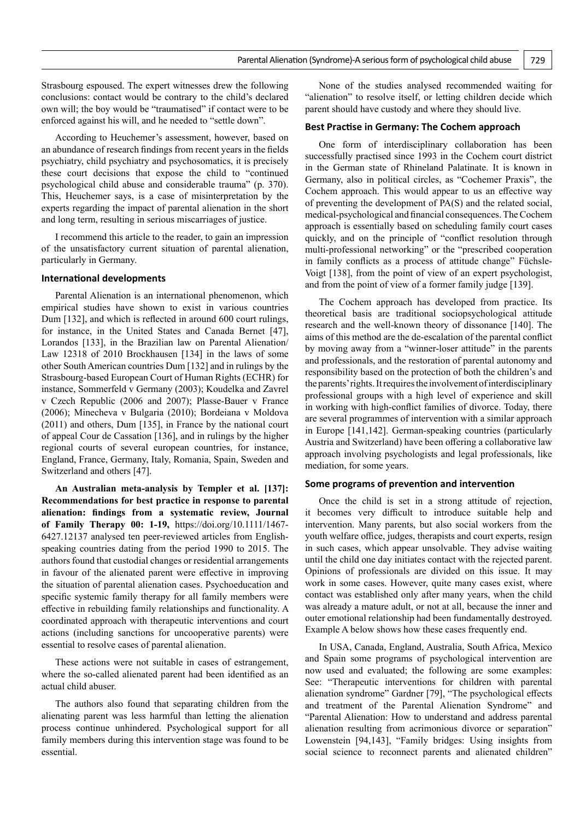Strasbourg espoused. The expert witnesses drew the following conclusions: contact would be contrary to the child's declared own will; the boy would be "traumatised" if contact were to be enforced against his will, and he needed to "settle down".

According to Heuchemer's assessment, however, based on an abundance of research findings from recent years in the fields psychiatry, child psychiatry and psychosomatics, it is precisely these court decisions that expose the child to "continued psychological child abuse and considerable trauma" (p. 370). This, Heuchemer says, is a case of misinterpretation by the experts regarding the impact of parental alienation in the short and long term, resulting in serious miscarriages of justice.

I recommend this article to the reader, to gain an impression of the unsatisfactory current situation of parental alienation, particularly in Germany.

#### **International developments**

Parental Alienation is an international phenomenon, which empirical studies have shown to exist in various countries Dum [132], and which is reflected in around 600 court rulings, for instance, in the United States and Canada Bernet [47], Lorandos [133], in the Brazilian law on Parental Alienation/ Law 12318 of 2010 Brockhausen [134] in the laws of some other South American countries Dum [132] and in rulings by the Strasbourg-based European Court of Human Rights (ECHR) for instance, Sommerfeld v Germany (2003); Koudelka and Zavrel v Czech Republic (2006 and 2007); Plasse-Bauer v France (2006); Minecheva v Bulgaria (2010); Bordeiana v Moldova (2011) and others, Dum [135], in France by the national court of appeal Cour de Cassation [136], and in rulings by the higher regional courts of several european countries, for instance, England, France, Germany, Italy, Romania, Spain, Sweden and Switzerland and others [47].

**An Australian meta-analysis by Templer et al. [137]: Recommendations for best practice in response to parental alienation: findings from a systematic review, Journal of Family Therapy 00: 1-19,** https://doi.org/10.1111/1467- 6427.12137 analysed ten peer-reviewed articles from Englishspeaking countries dating from the period 1990 to 2015. The authors found that custodial changes or residential arrangements in favour of the alienated parent were effective in improving the situation of parental alienation cases. Psychoeducation and specific systemic family therapy for all family members were effective in rebuilding family relationships and functionality. A coordinated approach with therapeutic interventions and court actions (including sanctions for uncooperative parents) were essential to resolve cases of parental alienation.

These actions were not suitable in cases of estrangement, where the so-called alienated parent had been identified as an actual child abuser.

The authors also found that separating children from the alienating parent was less harmful than letting the alienation process continue unhindered. Psychological support for all family members during this intervention stage was found to be essential.

None of the studies analysed recommended waiting for "alienation" to resolve itself, or letting children decide which parent should have custody and where they should live.

#### **Best Practise in Germany: The Cochem approach**

One form of interdisciplinary collaboration has been successfully practised since 1993 in the Cochem court district in the German state of Rhineland Palatinate. It is known in Germany, also in political circles, as "Cochemer Praxis", the Cochem approach. This would appear to us an effective way of preventing the development of PA(S) and the related social, medical-psychological and financial consequences. The Cochem approach is essentially based on scheduling family court cases quickly, and on the principle of "conflict resolution through multi-professional networking" or the "prescribed cooperation in family conflicts as a process of attitude change" Füchsle-Voigt [138], from the point of view of an expert psychologist, and from the point of view of a former family judge [139].

The Cochem approach has developed from practice. Its theoretical basis are traditional sociopsychological attitude research and the well-known theory of dissonance [140]. The aims of this method are the de-escalation of the parental conflict by moving away from a "winner-loser attitude" in the parents and professionals, and the restoration of parental autonomy and responsibility based on the protection of both the children's and the parents' rights. It requires the involvement of interdisciplinary professional groups with a high level of experience and skill in working with high-conflict families of divorce. Today, there are several programmes of intervention with a similar approach in Europe [141,142]. German-speaking countries (particularly Austria and Switzerland) have been offering a collaborative law approach involving psychologists and legal professionals, like mediation, for some years.

#### **Some programs of prevention and intervention**

Once the child is set in a strong attitude of rejection, it becomes very difficult to introduce suitable help and intervention. Many parents, but also social workers from the youth welfare office, judges, therapists and court experts, resign in such cases, which appear unsolvable. They advise waiting until the child one day initiates contact with the rejected parent. Opinions of professionals are divided on this issue. It may work in some cases. However, quite many cases exist, where contact was established only after many years, when the child was already a mature adult, or not at all, because the inner and outer emotional relationship had been fundamentally destroyed. Example A below shows how these cases frequently end.

In USA, Canada, England, Australia, South Africa, Mexico and Spain some programs of psychological intervention are now used and evaluated; the following are some examples: See: "Therapeutic interventions for children with parental alienation syndrome" Gardner [79], "The psychological effects and treatment of the Parental Alienation Syndrome" and "Parental Alienation: How to understand and address parental alienation resulting from acrimonious divorce or separation" Lowenstein [94,143], "Family bridges: Using insights from social science to reconnect parents and alienated children"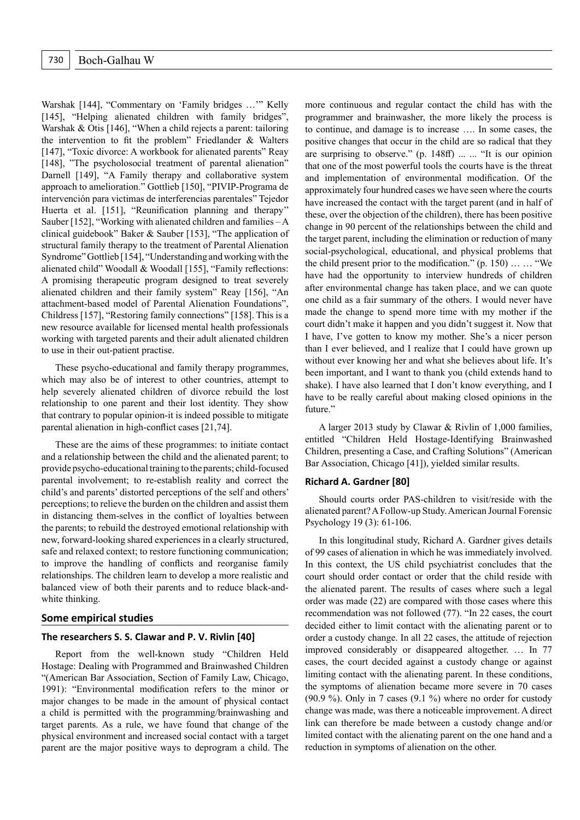Warshak [144], "Commentary on 'Family bridges …'" Kelly [145], "Helping alienated children with family bridges", Warshak & Otis [146], "When a child rejects a parent: tailoring the intervention to fit the problem" Friedlander & Walters [147], "Toxic divorce: A workbook for alienated parents" Reay [148], "The psycholosocial treatment of parental alienation" Darnell [149], "A Family therapy and collaborative system approach to amelioration." Gottlieb [150], "PIVIP-Programa de intervención para victimas de interferencias parentales" Tejedor Huerta et al. [151], "Reunification planning and therapy'' Sauber [152], "Working with alienated children and families  $-A$ clinical guidebook" Baker & Sauber [153], "The application of structural family therapy to the treatment of Parental Alienation Syndrome" Gottlieb [154], "Understanding and working with the alienated child" Woodall & Woodall [155], "Family reflections: A promising therapeutic program designed to treat severely alienated children and their family system" Reay [156], "An attachment-based model of Parental Alienation Foundations", Childress [157], "Restoring family connections" [158]. This is a new resource available for licensed mental health professionals working with targeted parents and their adult alienated children to use in their out-patient practise.

These psycho-educational and family therapy programmes, which may also be of interest to other countries, attempt to help severely alienated children of divorce rebuild the lost relationship to one parent and their lost identity. They show that contrary to popular opinion-it is indeed possible to mitigate parental alienation in high-conflict cases [21,74].

These are the aims of these programmes: to initiate contact and a relationship between the child and the alienated parent; to provide psycho-educational training to the parents; child-focused parental involvement; to re-establish reality and correct the child's and parents' distorted perceptions of the self and others' perceptions; to relieve the burden on the children and assist them in distancing them-selves in the conflict of loyalties between the parents; to rebuild the destroyed emotional relationship with new, forward-looking shared experiences in a clearly structured, safe and relaxed context; to restore functioning communication; to improve the handling of conflicts and reorganise family relationships. The children learn to develop a more realistic and balanced view of both their parents and to reduce black-andwhite thinking.

#### **Some empirical studies**

## **The researchers S. S. Clawar and P. V. Rivlin [40]**

Report from the well-known study "Children Held Hostage: Dealing with Programmed and Brainwashed Children "(American Bar Association, Section of Family Law, Chicago, 1991): "Environmental modification refers to the minor or major changes to be made in the amount of physical contact a child is permitted with the programming/brainwashing and target parents. As a rule, we have found that change of the physical environment and increased social contact with a target parent are the major positive ways to deprogram a child. The

more continuous and regular contact the child has with the programmer and brainwasher, the more likely the process is to continue, and damage is to increase …. In some cases, the positive changes that occur in the child are so radical that they are surprising to observe." (p. 148ff) ... ... "It is our opinion that one of the most powerful tools the courts have is the threat and implementation of environmental modification. Of the approximately four hundred cases we have seen where the courts have increased the contact with the target parent (and in half of these, over the objection of the children), there has been positive change in 90 percent of the relationships between the child and the target parent, including the elimination or reduction of many social-psychological, educational, and physical problems that the child present prior to the modification." (p. 150) … … "We have had the opportunity to interview hundreds of children after environmental change has taken place, and we can quote one child as a fair summary of the others. I would never have made the change to spend more time with my mother if the court didn't make it happen and you didn't suggest it. Now that I have, I've gotten to know my mother. She's a nicer person than I ever believed, and I realize that I could have grown up without ever knowing her and what she believes about life. It's been important, and I want to thank you (child extends hand to shake). I have also learned that I don't know everything, and I have to be really careful about making closed opinions in the future."

A larger 2013 study by Clawar & Rivlin of 1,000 families, entitled "Children Held Hostage-Identifying Brainwashed Children, presenting a Case, and Crafting Solutions" (American Bar Association, Chicago [41]), yielded similar results.

#### **Richard A. Gardner [80]**

Should courts order PAS-children to visit/reside with the alienated parent? A Follow-up Study. American Journal Forensic Psychology 19 (3): 61-106.

In this longitudinal study, Richard A. Gardner gives details of 99 cases of alienation in which he was immediately involved. In this context, the US child psychiatrist concludes that the court should order contact or order that the child reside with the alienated parent. The results of cases where such a legal order was made (22) are compared with those cases where this recommendation was not followed (77). "In 22 cases, the court decided either to limit contact with the alienating parent or to order a custody change. In all 22 cases, the attitude of rejection improved considerably or disappeared altogether. … In 77 cases, the court decided against a custody change or against limiting contact with the alienating parent. In these conditions, the symptoms of alienation became more severe in 70 cases (90.9 %). Only in 7 cases (9.1 %) where no order for custody change was made, was there a noticeable improvement. A direct link can therefore be made between a custody change and/or limited contact with the alienating parent on the one hand and a reduction in symptoms of alienation on the other.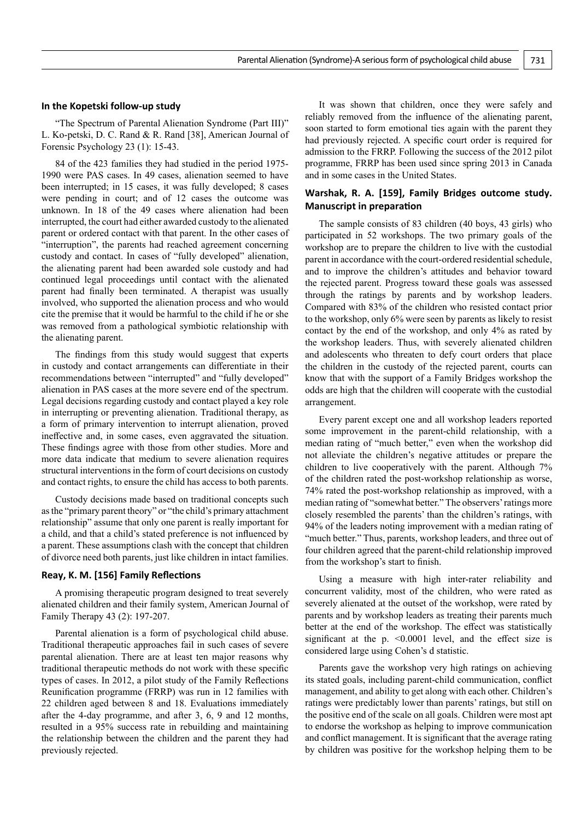#### **In the Kopetski follow-up study**

"The Spectrum of Parental Alienation Syndrome (Part III)" L. Ko-petski, D. C. Rand & R. Rand [38], American Journal of Forensic Psychology 23 (1): 15-43.

84 of the 423 families they had studied in the period 1975- 1990 were PAS cases. In 49 cases, alienation seemed to have been interrupted; in 15 cases, it was fully developed; 8 cases were pending in court; and of 12 cases the outcome was unknown. In 18 of the 49 cases where alienation had been interrupted, the court had either awarded custody to the alienated parent or ordered contact with that parent. In the other cases of "interruption", the parents had reached agreement concerning custody and contact. In cases of "fully developed" alienation, the alienating parent had been awarded sole custody and had continued legal proceedings until contact with the alienated parent had finally been terminated. A therapist was usually involved, who supported the alienation process and who would cite the premise that it would be harmful to the child if he or she was removed from a pathological symbiotic relationship with the alienating parent.

The findings from this study would suggest that experts in custody and contact arrangements can differentiate in their recommendations between "interrupted" and "fully developed" alienation in PAS cases at the more severe end of the spectrum. Legal decisions regarding custody and contact played a key role in interrupting or preventing alienation. Traditional therapy, as a form of primary intervention to interrupt alienation, proved ineffective and, in some cases, even aggravated the situation. These findings agree with those from other studies. More and more data indicate that medium to severe alienation requires structural interventions in the form of court decisions on custody and contact rights, to ensure the child has access to both parents.

Custody decisions made based on traditional concepts such as the "primary parent theory" or "the child's primary attachment relationship" assume that only one parent is really important for a child, and that a child's stated preference is not influenced by a parent. These assumptions clash with the concept that children of divorce need both parents, just like children in intact families.

#### **Reay, K. M. [156] Family Reflections**

A promising therapeutic program designed to treat severely alienated children and their family system, American Journal of Family Therapy 43 (2): 197-207.

Parental alienation is a form of psychological child abuse. Traditional therapeutic approaches fail in such cases of severe parental alienation. There are at least ten major reasons why traditional therapeutic methods do not work with these specific types of cases. In 2012, a pilot study of the Family Reflections Reunification programme (FRRP) was run in 12 families with 22 children aged between 8 and 18. Evaluations immediately after the 4-day programme, and after 3, 6, 9 and 12 months, resulted in a 95% success rate in rebuilding and maintaining the relationship between the children and the parent they had previously rejected.

It was shown that children, once they were safely and reliably removed from the influence of the alienating parent, soon started to form emotional ties again with the parent they had previously rejected. A specific court order is required for admission to the FRRP. Following the success of the 2012 pilot programme, FRRP has been used since spring 2013 in Canada and in some cases in the United States.

## **Warshak, R. A. [159], Family Bridges outcome study. Manuscript in preparation**

The sample consists of 83 children (40 boys, 43 girls) who participated in 52 workshops. The two primary goals of the workshop are to prepare the children to live with the custodial parent in accordance with the court-ordered residential schedule, and to improve the children's attitudes and behavior toward the rejected parent. Progress toward these goals was assessed through the ratings by parents and by workshop leaders. Compared with 83% of the children who resisted contact prior to the workshop, only 6% were seen by parents as likely to resist contact by the end of the workshop, and only 4% as rated by the workshop leaders. Thus, with severely alienated children and adolescents who threaten to defy court orders that place the children in the custody of the rejected parent, courts can know that with the support of a Family Bridges workshop the odds are high that the children will cooperate with the custodial arrangement.

Every parent except one and all workshop leaders reported some improvement in the parent-child relationship, with a median rating of "much better," even when the workshop did not alleviate the children's negative attitudes or prepare the children to live cooperatively with the parent. Although 7% of the children rated the post-workshop relationship as worse, 74% rated the post-workshop relationship as improved, with a median rating of "somewhat better." The observers' ratings more closely resembled the parents' than the children's ratings, with 94% of the leaders noting improvement with a median rating of "much better." Thus, parents, workshop leaders, and three out of four children agreed that the parent-child relationship improved from the workshop's start to finish.

Using a measure with high inter-rater reliability and concurrent validity, most of the children, who were rated as severely alienated at the outset of the workshop, were rated by parents and by workshop leaders as treating their parents much better at the end of the workshop. The effect was statistically significant at the p. <0.0001 level, and the effect size is considered large using Cohen's d statistic.

Parents gave the workshop very high ratings on achieving its stated goals, including parent-child communication, conflict management, and ability to get along with each other. Children's ratings were predictably lower than parents' ratings, but still on the positive end of the scale on all goals. Children were most apt to endorse the workshop as helping to improve communication and conflict management. It is significant that the average rating by children was positive for the workshop helping them to be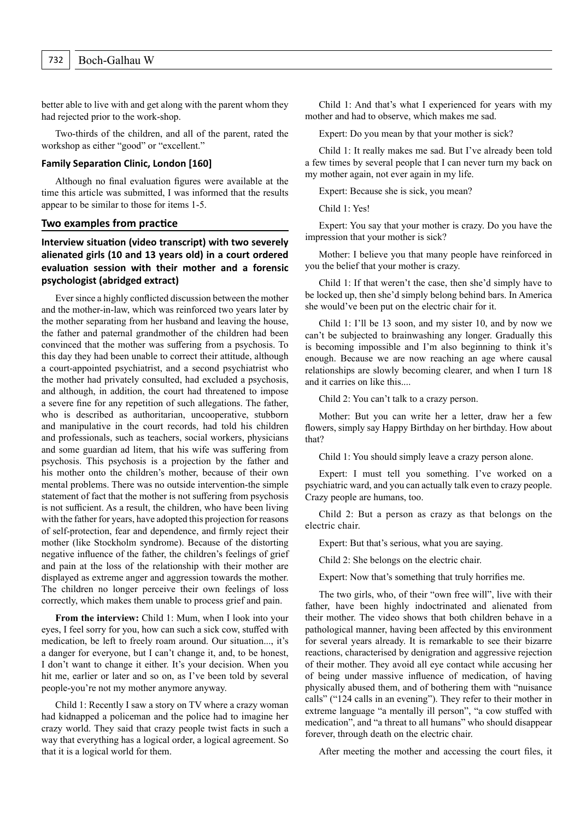better able to live with and get along with the parent whom they had rejected prior to the work-shop.

Two-thirds of the children, and all of the parent, rated the workshop as either "good" or "excellent."

## **Family Separation Clinic, London [160]**

Although no final evaluation figures were available at the time this article was submitted, I was informed that the results appear to be similar to those for items 1-5.

#### **Two examples from practice**

**Interview situation (video transcript) with two severely alienated girls (10 and 13 years old) in a court ordered evaluation session with their mother and a forensic psychologist (abridged extract)**

Ever since a highly conflicted discussion between the mother and the mother-in-law, which was reinforced two years later by the mother separating from her husband and leaving the house, the father and paternal grandmother of the children had been convinced that the mother was suffering from a psychosis. To this day they had been unable to correct their attitude, although a court-appointed psychiatrist, and a second psychiatrist who the mother had privately consulted, had excluded a psychosis, and although, in addition, the court had threatened to impose a severe fine for any repetition of such allegations. The father, who is described as authoritarian, uncooperative, stubborn and manipulative in the court records, had told his children and professionals, such as teachers, social workers, physicians and some guardian ad litem, that his wife was suffering from psychosis. This psychosis is a projection by the father and his mother onto the children's mother, because of their own mental problems. There was no outside intervention-the simple statement of fact that the mother is not suffering from psychosis is not sufficient. As a result, the children, who have been living with the father for years, have adopted this projection for reasons of self-protection, fear and dependence, and firmly reject their mother (like Stockholm syndrome). Because of the distorting negative influence of the father, the children's feelings of grief and pain at the loss of the relationship with their mother are displayed as extreme anger and aggression towards the mother. The children no longer perceive their own feelings of loss correctly, which makes them unable to process grief and pain.

From the interview: Child 1: Mum, when I look into your eyes, I feel sorry for you, how can such a sick cow, stuffed with medication, be left to freely roam around. Our situation..., it's a danger for everyone, but I can't change it, and, to be honest, I don't want to change it either. It's your decision. When you hit me, earlier or later and so on, as I've been told by several people-you're not my mother anymore anyway.

Child 1: Recently I saw a story on TV where a crazy woman had kidnapped a policeman and the police had to imagine her crazy world. They said that crazy people twist facts in such a way that everything has a logical order, a logical agreement. So that it is a logical world for them.

Child 1: And that's what I experienced for years with my mother and had to observe, which makes me sad.

Expert: Do you mean by that your mother is sick?

Child 1: It really makes me sad. But I've already been told a few times by several people that I can never turn my back on my mother again, not ever again in my life.

Expert: Because she is sick, you mean?

Child 1: Yes!

Expert: You say that your mother is crazy. Do you have the impression that your mother is sick?

Mother: I believe you that many people have reinforced in you the belief that your mother is crazy.

Child 1: If that weren't the case, then she'd simply have to be locked up, then she'd simply belong behind bars. In America she would've been put on the electric chair for it.

Child 1: I'll be 13 soon, and my sister 10, and by now we can't be subjected to brainwashing any longer. Gradually this is becoming impossible and I'm also beginning to think it's enough. Because we are now reaching an age where causal relationships are slowly becoming clearer, and when I turn 18 and it carries on like this....

Child 2: You can't talk to a crazy person.

Mother: But you can write her a letter, draw her a few flowers, simply say Happy Birthday on her birthday. How about that?

Child 1: You should simply leave a crazy person alone.

Expert: I must tell you something. I've worked on a psychiatric ward, and you can actually talk even to crazy people. Crazy people are humans, too.

Child 2: But a person as crazy as that belongs on the electric chair.

Expert: But that's serious, what you are saying.

Child 2: She belongs on the electric chair.

Expert: Now that's something that truly horrifies me.

The two girls, who, of their "own free will", live with their father, have been highly indoctrinated and alienated from their mother. The video shows that both children behave in a pathological manner, having been affected by this environment for several years already. It is remarkable to see their bizarre reactions, characterised by denigration and aggressive rejection of their mother. They avoid all eye contact while accusing her of being under massive influence of medication, of having physically abused them, and of bothering them with "nuisance calls" ("124 calls in an evening"). They refer to their mother in extreme language "a mentally ill person", "a cow stuffed with medication", and "a threat to all humans" who should disappear forever, through death on the electric chair.

After meeting the mother and accessing the court files, it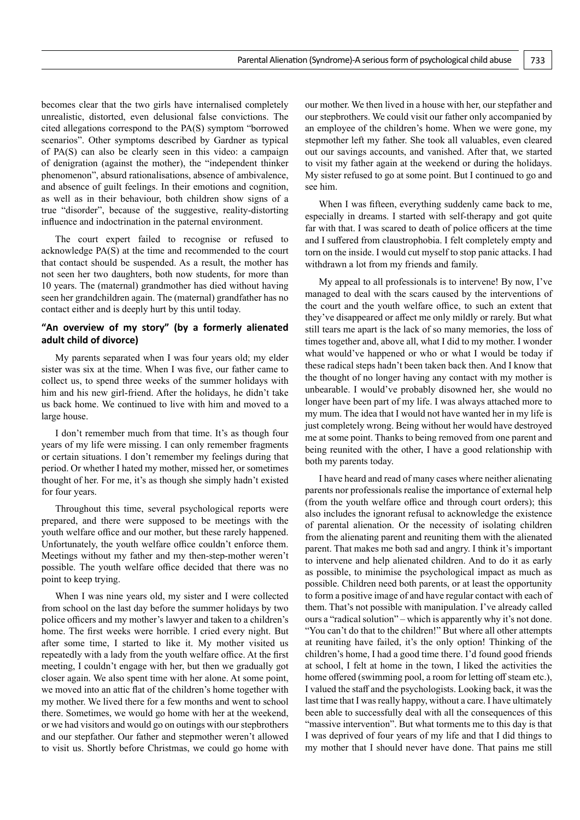becomes clear that the two girls have internalised completely unrealistic, distorted, even delusional false convictions. The cited allegations correspond to the PA(S) symptom "borrowed scenarios". Other symptoms described by Gardner as typical of PA(S) can also be clearly seen in this video: a campaign of denigration (against the mother), the "independent thinker phenomenon", absurd rationalisations, absence of ambivalence, and absence of guilt feelings. In their emotions and cognition, as well as in their behaviour, both children show signs of a true "disorder", because of the suggestive, reality-distorting influence and indoctrination in the paternal environment.

The court expert failed to recognise or refused to acknowledge PA(S) at the time and recommended to the court that contact should be suspended. As a result, the mother has not seen her two daughters, both now students, for more than 10 years. The (maternal) grandmother has died without having seen her grandchildren again. The (maternal) grandfather has no contact either and is deeply hurt by this until today.

## **"An overview of my story" (by a formerly alienated adult child of divorce)**

My parents separated when I was four years old; my elder sister was six at the time. When I was five, our father came to collect us, to spend three weeks of the summer holidays with him and his new girl-friend. After the holidays, he didn't take us back home. We continued to live with him and moved to a large house.

I don't remember much from that time. It's as though four years of my life were missing. I can only remember fragments or certain situations. I don't remember my feelings during that period. Or whether I hated my mother, missed her, or sometimes thought of her. For me, it's as though she simply hadn't existed for four years.

Throughout this time, several psychological reports were prepared, and there were supposed to be meetings with the youth welfare office and our mother, but these rarely happened. Unfortunately, the youth welfare office couldn't enforce them. Meetings without my father and my then-step-mother weren't possible. The youth welfare office decided that there was no point to keep trying.

When I was nine years old, my sister and I were collected from school on the last day before the summer holidays by two police officers and my mother's lawyer and taken to a children's home. The first weeks were horrible. I cried every night. But after some time, I started to like it. My mother visited us repeatedly with a lady from the youth welfare office. At the first meeting, I couldn't engage with her, but then we gradually got closer again. We also spent time with her alone. At some point, we moved into an attic flat of the children's home together with my mother. We lived there for a few months and went to school there. Sometimes, we would go home with her at the weekend, or we had visitors and would go on outings with our stepbrothers and our stepfather. Our father and stepmother weren't allowed to visit us. Shortly before Christmas, we could go home with our mother. We then lived in a house with her, our stepfather and our stepbrothers. We could visit our father only accompanied by an employee of the children's home. When we were gone, my stepmother left my father. She took all valuables, even cleared out our savings accounts, and vanished. After that, we started to visit my father again at the weekend or during the holidays. My sister refused to go at some point. But I continued to go and see him.

When I was fifteen, everything suddenly came back to me, especially in dreams. I started with self-therapy and got quite far with that. I was scared to death of police officers at the time and I suffered from claustrophobia. I felt completely empty and torn on the inside. I would cut myself to stop panic attacks. I had withdrawn a lot from my friends and family.

My appeal to all professionals is to intervene! By now, I've managed to deal with the scars caused by the interventions of the court and the youth welfare office, to such an extent that they've disappeared or affect me only mildly or rarely. But what still tears me apart is the lack of so many memories, the loss of times together and, above all, what I did to my mother. I wonder what would've happened or who or what I would be today if these radical steps hadn't been taken back then. And I know that the thought of no longer having any contact with my mother is unbearable. I would've probably disowned her, she would no longer have been part of my life. I was always attached more to my mum. The idea that I would not have wanted her in my life is just completely wrong. Being without her would have destroyed me at some point. Thanks to being removed from one parent and being reunited with the other, I have a good relationship with both my parents today.

I have heard and read of many cases where neither alienating parents nor professionals realise the importance of external help (from the youth welfare office and through court orders); this also includes the ignorant refusal to acknowledge the existence of parental alienation. Or the necessity of isolating children from the alienating parent and reuniting them with the alienated parent. That makes me both sad and angry. I think it's important to intervene and help alienated children. And to do it as early as possible, to minimise the psychological impact as much as possible. Children need both parents, or at least the opportunity to form a positive image of and have regular contact with each of them. That's not possible with manipulation. I've already called ours a "radical solution" – which is apparently why it's not done. "You can't do that to the children!" But where all other attempts at reuniting have failed, it's the only option! Thinking of the children's home, I had a good time there. I'd found good friends at school, I felt at home in the town, I liked the activities the home offered (swimming pool, a room for letting off steam etc.), I valued the staff and the psychologists. Looking back, it was the last time that I was really happy, without a care. I have ultimately been able to successfully deal with all the consequences of this "massive intervention". But what torments me to this day is that I was deprived of four years of my life and that I did things to my mother that I should never have done. That pains me still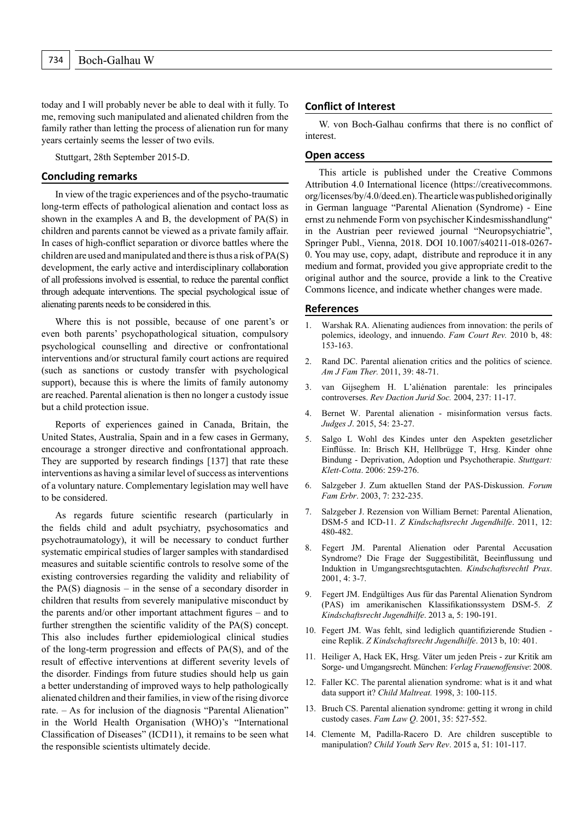today and I will probably never be able to deal with it fully. To me, removing such manipulated and alienated children from the family rather than letting the process of alienation run for many years certainly seems the lesser of two evils.

Stuttgart, 28th September 2015-D.

#### **Concluding remarks**

In view of the tragic experiences and of the psycho-traumatic long-term effects of pathological alienation and contact loss as shown in the examples A and B, the development of PA(S) in children and parents cannot be viewed as a private family affair. In cases of high-conflict separation or divorce battles where the children are used and manipulated and there is thus a risk of PA(S) development, the early active and interdisciplinary collaboration of all professions involved is essential, to reduce the parental conflict through adequate interventions. The special psychological issue of alienating parents needs to be considered in this.

Where this is not possible, because of one parent's or even both parents' psychopathological situation, compulsory psychological counselling and directive or confrontational interventions and/or structural family court actions are required (such as sanctions or custody transfer with psychological support), because this is where the limits of family autonomy are reached. Parental alienation is then no longer a custody issue but a child protection issue.

Reports of experiences gained in Canada, Britain, the United States, Australia, Spain and in a few cases in Germany, encourage a stronger directive and confrontational approach. They are supported by research findings [137] that rate these interventions as having a similar level of success as interventions of a voluntary nature. Complementary legislation may well have to be considered.

As regards future scientific research (particularly in the fields child and adult psychiatry, psychosomatics and psychotraumatology), it will be necessary to conduct further systematic empirical studies of larger samples with standardised measures and suitable scientific controls to resolve some of the existing controversies regarding the validity and reliability of the PA $(S)$  diagnosis – in the sense of a secondary disorder in children that results from severely manipulative misconduct by the parents and/or other important attachment figures – and to further strengthen the scientific validity of the PA(S) concept. This also includes further epidemiological clinical studies of the long-term progression and effects of PA(S), and of the result of effective interventions at different severity levels of the disorder. Findings from future studies should help us gain a better understanding of improved ways to help pathologically alienated children and their families, in view of the rising divorce rate. – As for inclusion of the diagnosis "Parental Alienation" in the World Health Organisation (WHO)'s "International Classification of Diseases" (ICD11), it remains to be seen what the responsible scientists ultimately decide.

#### **Conflict of Interest**

W. von Boch-Galhau confirms that there is no conflict of interest.

#### **Open access**

This article is published under the Creative Commons Attribution 4.0 International licence (https://creativecommons. org/licenses/by/4.0/deed.en). The article was published originally in German language "Parental Alienation (Syndrome) - Eine ernst zu nehmende Form von psychischer Kindesmisshandlung" in the Austrian peer reviewed journal "Neuropsychiatrie", Springer Publ., Vienna, 2018. DOI 10.1007/s40211-018-0267- 0. You may use, copy, adapt, distribute and reproduce it in any medium and format, provided you give appropriate credit to the original author and the source, provide a link to the Creative Commons licence, and indicate whether changes were made.

#### **References**

- 1. Warshak RA. Alienating audiences from innovation: the perils of polemics, ideology, and innuendo. *Fam Court Rev.* 2010 b, 48: 153-163.
- 2. Rand DC. Parental alienation critics and the politics of science. *Am J Fam Ther.* 2011, 39: 48-71.
- 3. van Gijseghem H. L'aliénation parentale: les principales controverses. *Rev Daction Jurid Soc.* 2004, 237: 11-17.
- 4. Bernet W. Parental alienation misinformation versus facts. *Judges J*. 2015, 54: 23-27.
- 5. Salgo L Wohl des Kindes unter den Aspekten gesetzlicher Einflüsse. In: Brisch KH, Hellbrügge T, Hrsg. Kinder ohne Bindung - Deprivation, Adoption und Psychotherapie. *Stuttgart: Klett-Cotta*. 2006: 259-276.
- 6. Salzgeber J. Zum aktuellen Stand der PAS-Diskussion. *Forum Fam Erbr*. 2003, 7: 232-235.
- 7. Salzgeber J. Rezension von William Bernet: Parental Alienation, DSM-5 and ICD-11. *Z Kindschaftsrecht Jugendhilfe*. 2011, 12: 480-482.
- 8. Fegert JM. Parental Alienation oder Parental Accusation Syndrome? Die Frage der Suggestibilität, Beeinflussung und Induktion in Umgangsrechtsgutachten. *Kindschaftsrechtl Prax*. 2001, 4: 3-7.
- 9. Fegert JM. Endgültiges Aus für das Parental Alienation Syndrom (PAS) im amerikanischen Klassifikationssystem DSM-5. *Z Kindschaftsrecht Jugendhilfe*. 2013 a, 5: 190-191.
- 10. Fegert JM. Was fehlt, sind lediglich quantifizierende Studien eine Replik. *Z Kindschaftsrecht Jugendhilfe*. 2013 b, 10: 401.
- 11. Heiliger A, Hack EK, Hrsg. Väter um jeden Preis zur Kritik am Sorge- und Umgangsrecht. München: *Verlag Frauenoffensive*: 2008.
- 12. Faller KC. The parental alienation syndrome: what is it and what data support it? *Child Maltreat.* 1998, 3: 100-115.
- 13. Bruch CS. Parental alienation syndrome: getting it wrong in child custody cases. *Fam Law Q*. 2001, 35: 527-552.
- 14. Clemente M, Padilla-Racero D. Are children susceptible to manipulation? *Child Youth Serv Rev*. 2015 a, 51: 101-117.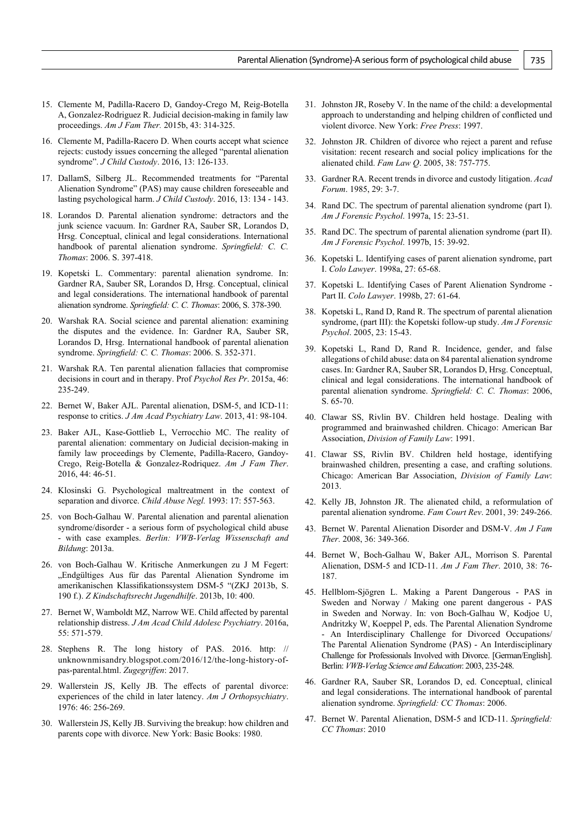- 15. Clemente M, Padilla-Racero D, Gandoy-Crego M, Reig-Botella A, Gonzalez-Rodriguez R. Judicial decision-making in family law proceedings. *Am J Fam Ther.* 2015b, 43: 314-325.
- 16. Clemente M, Padilla-Racero D. When courts accept what science rejects: custody issues concerning the alleged "parental alienation syndrome". *J Child Custody*. 2016, 13: 126-133.
- 17. DallamS, Silberg JL. Recommended treatments for "Parental Alienation Syndrome" (PAS) may cause children foreseeable and lasting psychological harm. *J Child Custody*. 2016, 13: 134 - 143.
- 18. Lorandos D. Parental alienation syndrome: detractors and the junk science vacuum. In: Gardner RA, Sauber SR, Lorandos D, Hrsg. Conceptual, clinical and legal considerations. International handbook of parental alienation syndrome. *Springfield: C. C. Thomas*: 2006. S. 397-418.
- 19. Kopetski L. Commentary: parental alienation syndrome. In: Gardner RA, Sauber SR, Lorandos D, Hrsg. Conceptual, clinical and legal considerations. The international handbook of parental alienation syndrome. *Springfield: C. C. Thomas*: 2006, S. 378-390.
- 20. Warshak RA. Social science and parental alienation: examining the disputes and the evidence. In: Gardner RA, Sauber SR, Lorandos D, Hrsg. International handbook of parental alienation syndrome. *Springfield: C. C. Thomas*: 2006. S. 352-371.
- 21. Warshak RA. Ten parental alienation fallacies that compromise decisions in court and in therapy. Prof *Psychol Res Pr*. 2015a, 46: 235-249.
- 22. Bernet W, Baker AJL. Parental alienation, DSM-5, and ICD-11: response to critics. *J Am Acad Psychiatry Law*. 2013, 41: 98-104.
- 23. Baker AJL, Kase-Gottlieb L, Verrocchio MC. The reality of parental alienation: commentary on Judicial decision-making in family law proceedings by Clemente, Padilla-Racero, Gandoy-Crego, Reig-Botella & Gonzalez-Rodriquez. *Am J Fam Ther*. 2016, 44: 46-51.
- 24. Klosinski G. Psychological maltreatment in the context of separation and divorce. *Child Abuse Negl.* 1993: 17: 557-563.
- 25. von Boch-Galhau W. Parental alienation and parental alienation syndrome/disorder - a serious form of psychological child abuse - with case examples. *Berlin: VWB-Verlag Wissenschaft and Bildung*: 2013a.
- 26. von Boch-Galhau W. Kritische Anmerkungen zu J M Fegert: "Endgültiges Aus für das Parental Alienation Syndrome im amerikanischen Klassifikationssystem DSM-5 "(ZKJ 2013b, S. 190 f.). *Z Kindschaftsrecht Jugendhilfe*. 2013b, 10: 400.
- 27. Bernet W, Wamboldt MZ, Narrow WE. Child affected by parental relationship distress. *J Am Acad Child Adolesc Psychiatry*. 2016a, 55: 571-579.
- 28. Stephens R. The long history of PAS. 2016. http: // unknownmisandry.blogspot.com/2016/12/the-long-history-ofpas-parental.html. *Zugegriffen*: 2017.
- 29. Wallerstein JS, Kelly JB. The effects of parental divorce: experiences of the child in later latency. *Am J Orthopsychiatry*. 1976: 46: 256-269.
- 30. Wallerstein JS, Kelly JB. Surviving the breakup: how children and parents cope with divorce. New York: Basic Books: 1980.
- 31. Johnston JR, Roseby V. In the name of the child: a developmental approach to understanding and helping children of conflicted und violent divorce. New York: *Free Press*: 1997.
- 32. Johnston JR. Children of divorce who reject a parent and refuse visitation: recent research and social policy implications for the alienated child. *Fam Law Q*. 2005, 38: 757-775.
- 33. Gardner RA. Recent trends in divorce and custody litigation. *Acad Forum*. 1985, 29: 3-7.
- 34. Rand DC. The spectrum of parental alienation syndrome (part I). *Am J Forensic Psychol*. 1997a, 15: 23-51.
- 35. Rand DC. The spectrum of parental alienation syndrome (part II). *Am J Forensic Psychol*. 1997b, 15: 39-92.
- 36. Kopetski L. Identifying cases of parent alienation syndrome, part I. *Colo Lawyer*. 1998a, 27: 65-68.
- 37. Kopetski L. Identifying Cases of Parent Alienation Syndrome Part II. *Colo Lawyer*. 1998b, 27: 61-64.
- 38. Kopetski L, Rand D, Rand R. The spectrum of parental alienation syndrome, (part III): the Kopetski follow-up study. *Am J Forensic Psychol*. 2005, 23: 15-43.
- 39. Kopetski L, Rand D, Rand R. Incidence, gender, and false allegations of child abuse: data on 84 parental alienation syndrome cases. In: Gardner RA, Sauber SR, Lorandos D, Hrsg. Conceptual, clinical and legal considerations. The international handbook of parental alienation syndrome. *Springfield: C. C. Thomas*: 2006, S. 65-70.
- 40. Clawar SS, Rivlin BV. Children held hostage. Dealing with programmed and brainwashed children. Chicago: American Bar Association, *Division of Family Law*: 1991.
- 41. Clawar SS, Rivlin BV. Children held hostage, identifying brainwashed children, presenting a case, and crafting solutions. Chicago: American Bar Association, *Division of Family Law*: 2013.
- 42. Kelly JB, Johnston JR. The alienated child, a reformulation of parental alienation syndrome. *Fam Court Rev*. 2001, 39: 249-266.
- 43. Bernet W. Parental Alienation Disorder and DSM-V. *Am J Fam Ther*. 2008, 36: 349-366.
- 44. Bernet W, Boch-Galhau W, Baker AJL, Morrison S. Parental Alienation, DSM-5 and ICD-11. *Am J Fam Ther*. 2010, 38: 76- 187.
- 45. Hellblom-Sjögren L. Making a Parent Dangerous PAS in Sweden and Norway / Making one parent dangerous - PAS in Sweden and Norway. In: von Boch-Galhau W, Kodjoe U, Andritzky W, Koeppel P, eds. The Parental Alienation Syndrome - An Interdisciplinary Challenge for Divorced Occupations/ The Parental Alienation Syndrome (PAS) - An Interdisciplinary Challenge for Professionals Involved with Divorce. [German/English]. Berlin: *VWB-Verlag Science and Education*: 2003, 235-248.
- 46. Gardner RA, Sauber SR, Lorandos D, ed. Conceptual, clinical and legal considerations. The international handbook of parental alienation syndrome. *Springfield: CC Thomas*: 2006.
- 47. Bernet W. Parental Alienation, DSM-5 and ICD-11. *Springfield: CC Thomas*: 2010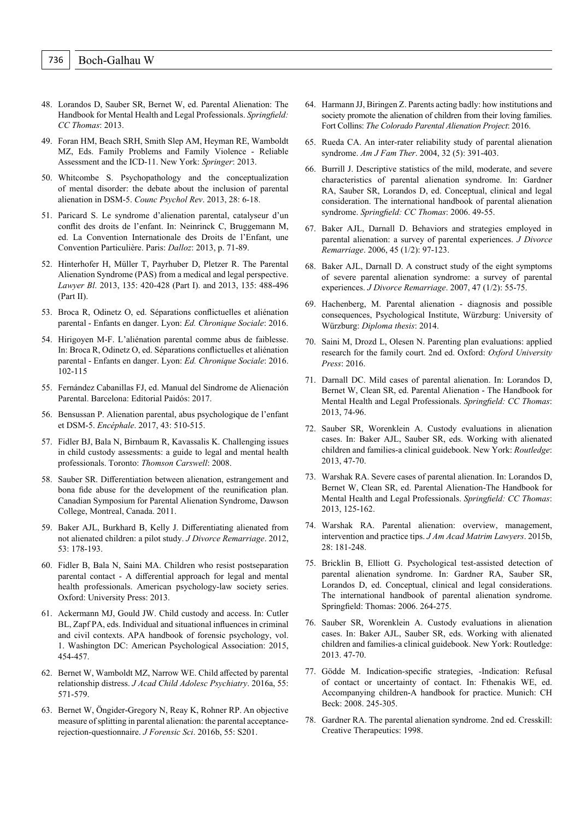- 48. Lorandos D, Sauber SR, Bernet W, ed. Parental Alienation: The Handbook for Mental Health and Legal Professionals. *Springfield: CC Thomas*: 2013.
- 49. Foran HM, Beach SRH, Smith Slep AM, Heyman RE, Wamboldt MZ, Eds. Family Problems and Family Violence - Reliable Assessment and the ICD-11. New York: *Springer*: 2013.
- 50. Whitcombe S. Psychopathology and the conceptualization of mental disorder: the debate about the inclusion of parental alienation in DSM-5. *Counc Psychol Rev*. 2013, 28: 6-18.
- 51. Paricard S. Le syndrome d'alienation parental, catalyseur d'un conflit des droits de l'enfant. In: Neinrinck C, Bruggemann M, ed. La Convention Internationale des Droits de l'Enfant, une Convention Particulière. Paris: *Dalloz*: 2013, p. 71-89.
- 52. Hinterhofer H, Müller T, Payrhuber D, Pletzer R. The Parental Alienation Syndrome (PAS) from a medical and legal perspective. *Lawyer Bl*. 2013, 135: 420-428 (Part I). and 2013, 135: 488-496 (Part II).
- 53. Broca R, Odinetz O, ed. Séparations conflictuelles et aliénation parental - Enfants en danger. Lyon: *Ed. Chronique Sociale*: 2016.
- 54. Hirigoyen M-F. L'aliénation parental comme abus de faiblesse. In: Broca R, Odinetz O, ed. Séparations conflictuelles et aliénation parental - Enfants en danger. Lyon: *Ed. Chronique Sociale*: 2016. 102-115
- 55. Fernández Cabanillas FJ, ed. Manual del Sindrome de Alienación Parental. Barcelona: Editorial Paidós: 2017.
- 56. Bensussan P. Alienation parental, abus psychologique de l'enfant et DSM-5. *Encéphale*. 2017, 43: 510-515.
- 57. Fidler BJ, Bala N, Birnbaum R, Kavassalis K. Challenging issues in child custody assessments: a guide to legal and mental health professionals. Toronto: *Thomson Carswell*: 2008.
- 58. Sauber SR. Differentiation between alienation, estrangement and bona fide abuse for the development of the reunification plan. Canadian Symposium for Parental Alienation Syndrome, Dawson College, Montreal, Canada. 2011.
- 59. Baker AJL, Burkhard B, Kelly J. Differentiating alienated from not alienated children: a pilot study. *J Divorce Remarriage*. 2012, 53: 178-193.
- 60. Fidler B, Bala N, Saini MA. Children who resist postseparation parental contact - A differential approach for legal and mental health professionals. American psychology-law society series. Oxford: University Press: 2013.
- 61. Ackermann MJ, Gould JW. Child custody and access. In: Cutler BL, Zapf PA, eds. Individual and situational influences in criminal and civil contexts. APA handbook of forensic psychology, vol. 1. Washington DC: American Psychological Association: 2015, 454-457.
- 62. Bernet W, Wamboldt MZ, Narrow WE. Child affected by parental relationship distress. *J Acad Child Adolesc Psychiatry*. 2016a, 55: 571-579.
- 63. Bernet W, Öngider-Gregory N, Reay K, Rohner RP. An objective measure of splitting in parental alienation: the parental acceptancerejection-questionnaire. *J Forensic Sci*. 2016b, 55: S201.
- 64. Harmann JJ, Biringen Z. Parents acting badly: how institutions and society promote the alienation of children from their loving families. Fort Collins: *The Colorado Parental Alienation Project*: 2016.
- 65. Rueda CA. An inter-rater reliability study of parental alienation syndrome. *Am J Fam Ther*. 2004, 32 (5): 391-403.
- 66. Burrill J. Descriptive statistics of the mild, moderate, and severe characteristics of parental alienation syndrome. In: Gardner RA, Sauber SR, Lorandos D, ed. Conceptual, clinical and legal consideration. The international handbook of parental alienation syndrome. *Springfield: CC Thomas*: 2006. 49-55.
- 67. Baker AJL, Darnall D. Behaviors and strategies employed in parental alienation: a survey of parental experiences. *J Divorce Remarriage*. 2006, 45 (1/2): 97-123.
- 68. Baker AJL, Darnall D. A construct study of the eight symptoms of severe parental alienation syndrome: a survey of parental experiences. *J Divorce Remarriage*. 2007, 47 (1/2): 55-75.
- 69. Hachenberg, M. Parental alienation diagnosis and possible consequences, Psychological Institute, Würzburg: University of Würzburg: *Diploma thesis*: 2014.
- 70. Saini M, Drozd L, Olesen N. Parenting plan evaluations: applied research for the family court. 2nd ed. Oxford: *Oxford University Press*: 2016.
- 71. Darnall DC. Mild cases of parental alienation. In: Lorandos D, Bernet W, Clean SR, ed. Parental Alienation - The Handbook for Mental Health and Legal Professionals. *Springfield: CC Thomas*: 2013, 74-96.
- 72. Sauber SR, Worenklein A. Custody evaluations in alienation cases. In: Baker AJL, Sauber SR, eds. Working with alienated children and families-a clinical guidebook. New York: *Routledge*: 2013, 47-70.
- 73. Warshak RA. Severe cases of parental alienation. In: Lorandos D, Bernet W, Clean SR, ed. Parental Alienation-The Handbook for Mental Health and Legal Professionals. *Springfield: CC Thomas*: 2013, 125-162.
- 74. Warshak RA. Parental alienation: overview, management, intervention and practice tips. *J Am Acad Matrim Lawyers*. 2015b, 28: 181-248.
- 75. Bricklin B, Elliott G. Psychological test-assisted detection of parental alienation syndrome. In: Gardner RA, Sauber SR, Lorandos D, ed. Conceptual, clinical and legal considerations. The international handbook of parental alienation syndrome. Springfield: Thomas: 2006. 264-275.
- 76. Sauber SR, Worenklein A. Custody evaluations in alienation cases. In: Baker AJL, Sauber SR, eds. Working with alienated children and families-a clinical guidebook. New York: Routledge: 2013. 47-70.
- 77. Gödde M. Indication-specific strategies, -Indication: Refusal of contact or uncertainty of contact. In: Fthenakis WE, ed. Accompanying children-A handbook for practice. Munich: CH Beck: 2008. 245-305.
- 78. Gardner RA. The parental alienation syndrome. 2nd ed. Cresskill: Creative Therapeutics: 1998.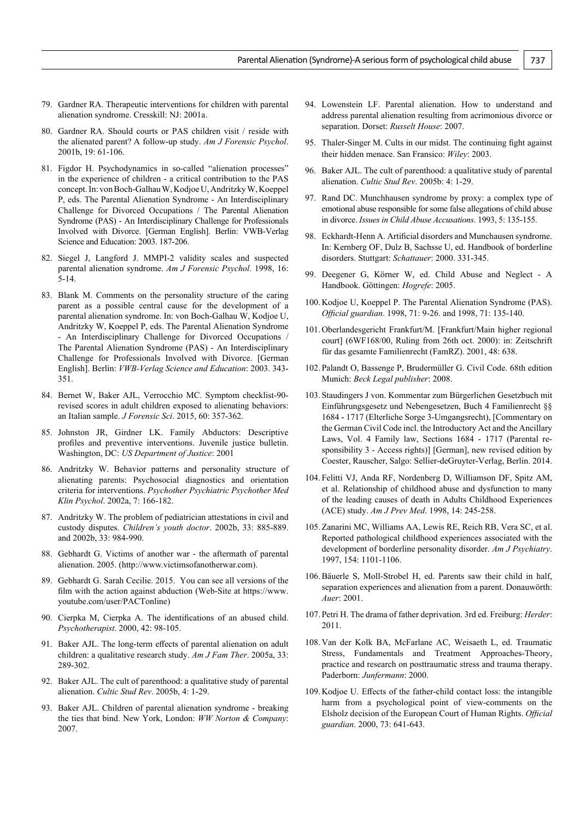- 79. Gardner RA. Therapeutic interventions for children with parental alienation syndrome. Cresskill: NJ: 2001a.
- 80. Gardner RA. Should courts or PAS children visit / reside with the alienated parent? A follow-up study. *Am J Forensic Psychol*. 2001b, 19: 61-106.
- 81. Figdor H. Psychodynamics in so-called "alienation processes" in the experience of children - a critical contribution to the PAS concept.In: von Boch-Galhau W, Kodjoe U, Andritzky W, Koeppel P, eds. The Parental Alienation Syndrome - An Interdisciplinary Challenge for Divorced Occupations / The Parental Alienation Syndrome (PAS) - An Interdisciplinary Challenge for Professionals Involved with Divorce. [German English]. Berlin: VWB-Verlag Science and Education: 2003. 187-206.
- 82. Siegel J, Langford J. MMPI-2 validity scales and suspected parental alienation syndrome. *Am J Forensic Psychol*. 1998, 16: 5-14.
- 83. Blank M. Comments on the personality structure of the caring parent as a possible central cause for the development of a parental alienation syndrome. In: von Boch-Galhau W, Kodjoe U, Andritzky W, Koeppel P, eds. The Parental Alienation Syndrome - An Interdisciplinary Challenge for Divorced Occupations / The Parental Alienation Syndrome (PAS) - An Interdisciplinary Challenge for Professionals Involved with Divorce. [German English]. Berlin: *VWB-Verlag Science and Education*: 2003. 343- 351.
- 84. Bernet W, Baker AJL, Verrocchio MC. Symptom checklist-90 revised scores in adult children exposed to alienating behaviors: an Italian sample. *J Forensic Sci*. 2015, 60: 357-362.
- 85. Johnston JR, Girdner LK. Family Abductors: Descriptive profiles and preventive interventions. Juvenile justice bulletin. Washington, DC: *US Department of Justice*: 2001
- 86. Andritzky W. Behavior patterns and personality structure of alienating parents: Psychosocial diagnostics and orientation criteria for interventions. *Psychother Psychiatric Psychother Med Klin Psychol*. 2002a, 7: 166-182.
- 87. Andritzky W. The problem of pediatrician attestations in civil and custody disputes. *Children's youth doctor*. 2002b, 33: 885-889. and 2002b, 33: 984-990.
- 88. Gebhardt G. Victims of another war the aftermath of parental alienation. 2005. (http://www.victimsofanotherwar.com).
- 89. Gebhardt G. Sarah Cecilie. 2015. You can see all versions of the film with the action against abduction (Web-Site at [https://www.](https://www.youtube.com/user/PACTonline) [youtube.com/user/PACTonline\)](https://www.youtube.com/user/PACTonline)
- 90. Cierpka M, Cierpka A. The identifications of an abused child. *Psychotherapist*. 2000, 42: 98-105.
- 91. Baker AJL. The long-term effects of parental alienation on adult children: a qualitative research study. *Am J Fam Ther*. 2005a, 33: 289-302.
- 92. Baker AJL. The cult of parenthood: a qualitative study of parental alienation. *Cultic Stud Rev*. 2005b, 4: 1-29.
- 93. Baker AJL. Children of parental alienation syndrome breaking the ties that bind. New York, London: *WW Norton & Company*: 2007.
- 94. Lowenstein LF. Parental alienation. How to understand and address parental alienation resulting from acrimonious divorce or separation. Dorset: *Russelt House*: 2007.
- 95. Thaler-Singer M. Cults in our midst. The continuing fight against their hidden menace. San Fransico: *Wiley*: 2003.
- 96. Baker AJL. The cult of parenthood: a qualitative study of parental alienation. *Cultic Stud Rev*. 2005b: 4: 1-29.
- 97. Rand DC. Munchhausen syndrome by proxy: a complex type of emotional abuse responsible for some false allegations of child abuse in divorce. *Issues in Child Abuse Accusations*. 1993, 5: 135-155.
- 98. Eckhardt-Henn A. Artificial disorders and Munchausen syndrome. In: Kernberg OF, Dulz B, Sachsse U, ed. Handbook of borderline disorders. Stuttgart: *Schattauer*: 2000. 331-345.
- 99. Deegener G, Körner W, ed. Child Abuse and Neglect A Handbook. Göttingen: *Hogrefe*: 2005.
- 100.Kodjoe U, Koeppel P. The Parental Alienation Syndrome (PAS). *Official guardian*. 1998, 71: 9-26. and 1998, 71: 135-140.
- 101.Oberlandesgericht Frankfurt/M. [Frankfurt/Main higher regional court] (6WF168/00, Ruling from 26th oct. 2000): in: Zeitschrift für das gesamte Familienrecht (FamRZ). 2001, 48: 638.
- 102. Palandt O, Bassenge P, Brudermüller G. Civil Code. 68th edition Munich: *Beck Legal publisher*: 2008.
- 103. Staudingers J von. Kommentar zum Bürgerlichen Gesetzbuch mit Einführungsgesetz und Nebengesetzen, Buch 4 Familienrecht §§ 1684 - 1717 (Elterliche Sorge 3-Umgangsrecht), [Commentary on the German Civil Code incl. the Introductory Act and the Ancillary Laws, Vol. 4 Family law, Sections 1684 - 1717 (Parental responsibility 3 - Access rights)] [German], new revised edition by Coester, Rauscher, Salgo: Sellier-deGruyter-Verlag, Berlin. 2014.
- 104. Felitti VJ, Anda RF, Nordenberg D, Williamson DF, Spitz AM, et al. Relationship of childhood abuse and dysfunction to many of the leading causes of death in Adults Childhood Experiences (ACE) study. *Am J Prev Med*. 1998, 14: 245-258.
- 105.Zanarini MC, Williams AA, Lewis RE, Reich RB, Vera SC, et al. Reported pathological childhood experiences associated with the development of borderline personality disorder. *Am J Psychiatry*. 1997, 154: 1101-1106.
- 106.Bäuerle S, Moll-Strobel H, ed. Parents saw their child in half, separation experiences and alienation from a parent. Donauwörth: *Auer*: 2001.
- 107. Petri H. The drama of father deprivation. 3rd ed. Freiburg: *Herder*: 2011.
- 108.Van der Kolk BA, McFarlane AC, Weisaeth L, ed. Traumatic Stress, Fundamentals and Treatment Approaches-Theory, practice and research on posttraumatic stress and trauma therapy. Paderborn: *Junfermann*: 2000.
- 109.Kodjoe U. Effects of the father-child contact loss: the intangible harm from a psychological point of view-comments on the Elsholz decision of the European Court of Human Rights. *Official guardian*. 2000, 73: 641-643.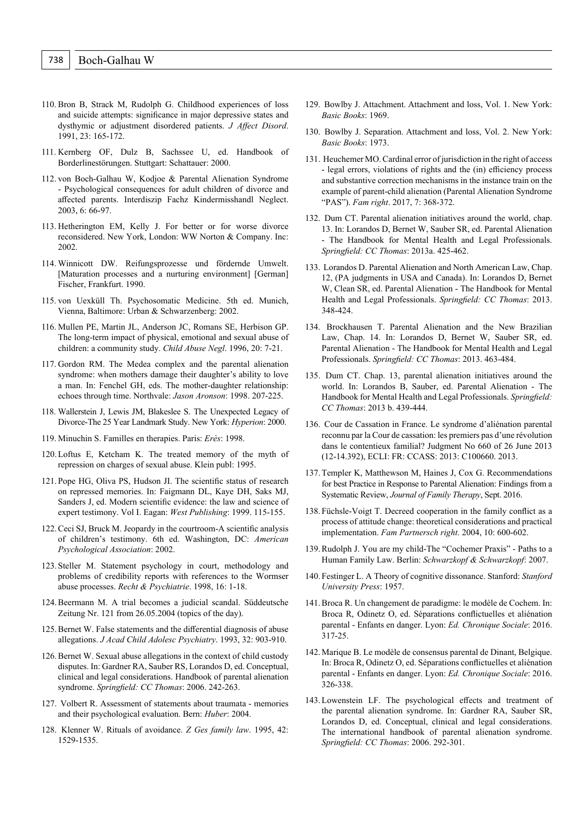- 110. Bron B, Strack M, Rudolph G. Childhood experiences of loss and suicide attempts: significance in major depressive states and dysthymic or adjustment disordered patients. *J Affect Disord*. 1991, 23: 165-172.
- 111. Kernberg OF, Dulz B, Sachssee U, ed. Handbook of Borderlinestörungen. Stuttgart: Schattauer: 2000.
- 112. von Boch-Galhau W, Kodjoe & Parental Alienation Syndrome - Psychological consequences for adult children of divorce and affected parents. Interdiszip Fachz Kindermisshandl Neglect. 2003, 6: 66-97.
- 113. Hetherington EM, Kelly J. For better or for worse divorce reconsidered. New York, London: WW Norton & Company. Inc: 2002.
- 114. Winnicott DW. Reifungsprozesse und fördernde Umwelt. [Maturation processes and a nurturing environment] [German] Fischer, Frankfurt. 1990.
- 115. von Uexküll Th. Psychosomatic Medicine. 5th ed. Munich, Vienna, Baltimore: Urban & Schwarzenberg: 2002.
- 116. Mullen PE, Martin JL, Anderson JC, Romans SE, Herbison GP. The long-term impact of physical, emotional and sexual abuse of children: a community study. *Child Abuse Negl*. 1996, 20: 7-21.
- 117. Gordon RM. The Medea complex and the parental alienation syndrome: when mothers damage their daughter's ability to love a man. In: Fenchel GH, eds. The mother-daughter relationship: echoes through time. Northvale: *Jason Aronson*: 1998. 207-225.
- 118. Wallerstein J, Lewis JM, Blakeslee S. The Unexpected Legacy of Divorce-The 25 Year Landmark Study. New York: *Hyperion*: 2000.
- 119. Minuchin S. Familles en therapies. Paris: *Erès*: 1998.
- 120.Loftus E, Ketcham K. The treated memory of the myth of repression on charges of sexual abuse. Klein publ: 1995.
- 121. Pope HG, Oliva PS, Hudson JI. The scientific status of research on repressed memories. In: Faigmann DL, Kaye DH, Saks MJ, Sanders J, ed. Modern scientific evidence: the law and science of expert testimony. Vol I. Eagan: *West Publishing*: 1999. 115-155.
- 122.Ceci SJ, Bruck M. Jeopardy in the courtroom-A scientific analysis of children's testimony. 6th ed. Washington, DC: *American Psychological Association*: 2002.
- 123. Steller M. Statement psychology in court, methodology and problems of credibility reports with references to the Wormser abuse processes. *Recht & Psychiatrie*. 1998, 16: 1-18.
- 124.Beermann M. A trial becomes a judicial scandal. Süddeutsche Zeitung Nr. 121 from 26.05.2004 (topics of the day).
- 125.Bernet W. False statements and the differential diagnosis of abuse allegations. *J Acad Child Adolesc Psychiatry*. 1993, 32: 903-910.
- 126.Bernet W. Sexual abuse allegations in the context of child custody disputes. In: Gardner RA, Sauber RS, Lorandos D, ed. Conceptual, clinical and legal considerations. Handbook of parental alienation syndrome. *Springfield: CC Thomas*: 2006. 242-263.
- 127. Volbert R. Assessment of statements about traumata memories and their psychological evaluation. Bern: *Huber*: 2004.
- 128. Klenner W. Rituals of avoidance. *Z Ges family law*. 1995, 42: 1529-1535.
- 129. Bowlby J. Attachment. Attachment and loss, Vol. 1. New York: *Basic Books*: 1969.
- 130. Bowlby J. Separation. Attachment and loss, Vol. 2. New York: *Basic Books*: 1973.
- 131. Heuchemer MO.Cardinal error of jurisdiction in the right of access - legal errors, violations of rights and the (in) efficiency process and substantive correction mechanisms in the instance train on the example of parent-child alienation (Parental Alienation Syndrome "PAS"). *Fam right*. 2017, 7: 368-372.
- 132. Dum CT. Parental alienation initiatives around the world, chap. 13. In: Lorandos D, Bernet W, Sauber SR, ed. Parental Alienation - The Handbook for Mental Health and Legal Professionals. *Springfield: CC Thomas*: 2013a. 425-462.
- 133. Lorandos D. Parental Alienation and North American Law, Chap. 12, (PA judgments in USA and Canada). In: Lorandos D, Bernet W, Clean SR, ed. Parental Alienation - The Handbook for Mental Health and Legal Professionals. *Springfield: CC Thomas*: 2013. 348-424.
- 134. Brockhausen T. Parental Alienation and the New Brazilian Law, Chap. 14. In: Lorandos D, Bernet W, Sauber SR, ed. Parental Alienation - The Handbook for Mental Health and Legal Professionals. *Springfield: CC Thomas*: 2013. 463-484.
- 135. Dum CT. Chap. 13, parental alienation initiatives around the world. In: Lorandos B, Sauber, ed. Parental Alienation - The Handbook for Mental Health and Legal Professionals. *Springfield: CC Thomas*: 2013 b. 439-444.
- 136. Cour de Cassation in France. Le syndrome d'aliénation parental reconnu par la Cour de cassation: les premiers pas d'une révolution dans le contentieux familial? Judgment No 660 of 26 June 2013 (12-14.392), ECLI: FR: CCASS: 2013: C100660. 2013.
- 137.Templer K, Matthewson M, Haines J, Cox G. Recommendations for best Practice in Response to Parental Alienation: Findings from a Systematic Review, *Journal of Family Therapy*, Sept. 2016.
- 138. Füchsle-Voigt T. Decreed cooperation in the family conflict as a process of attitude change: theoretical considerations and practical implementation. *Fam Partnersch right*. 2004, 10: 600-602.
- 139.Rudolph J. You are my child-The "Cochemer Praxis" Paths to a Human Family Law. Berlin: *Schwarzkopf & Schwarzkopf*: 2007.
- 140. Festinger L. A Theory of cognitive dissonance. Stanford: *Stanford University Press*: 1957.
- 141.Broca R. Un changement de paradigme: le modèle de Cochem. In: Broca R, Odinetz O, ed. Séparations conflictuelles et aliénation parental - Enfants en danger. Lyon: *Ed. Chronique Sociale*: 2016. 317-25.
- 142.Marique B. Le modèle de consensus parental de Dinant, Belgique. In: Broca R, Odinetz O, ed. Séparations conflictuelles et aliénation parental - Enfants en danger. Lyon: *Ed. Chronique Sociale*: 2016. 326-338.
- 143.Lowenstein LF. The psychological effects and treatment of the parental alienation syndrome. In: Gardner RA, Sauber SR, Lorandos D, ed. Conceptual, clinical and legal considerations. The international handbook of parental alienation syndrome. *Springfield: CC Thomas*: 2006. 292-301.